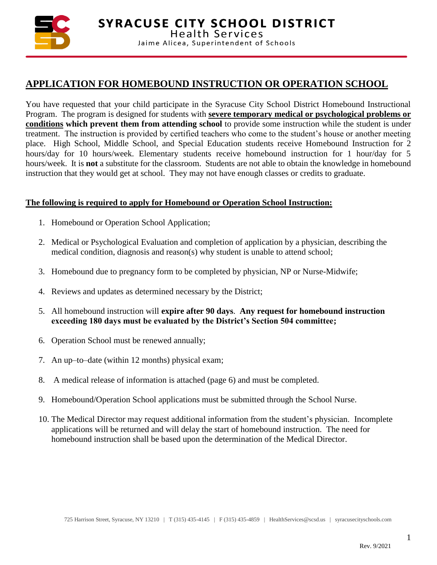

# **APPLICATION FOR HOMEBOUND INSTRUCTION OR OPERATION SCHOOL**

You have requested that your child participate in the Syracuse City School District Homebound Instructional Program. The program is designed for students with **severe temporary medical or psychological problems or conditions which prevent them from attending school** to provide some instruction while the student is under treatment. The instruction is provided by certified teachers who come to the student's house or another meeting place. High School, Middle School, and Special Education students receive Homebound Instruction for 2 hours/day for 10 hours/week. Elementary students receive homebound instruction for 1 hour/day for 5 hours/week. It is **not** a substitute for the classroom. Students are not able to obtain the knowledge in homebound instruction that they would get at school. They may not have enough classes or credits to graduate.

### **The following is required to apply for Homebound or Operation School Instruction:**

- 1. Homebound or Operation School Application;
- 2. Medical or Psychological Evaluation and completion of application by a physician, describing the medical condition, diagnosis and reason(s) why student is unable to attend school;
- 3. Homebound due to pregnancy form to be completed by physician, NP or Nurse-Midwife;
- 4. Reviews and updates as determined necessary by the District;
- 5. All homebound instruction will **expire after 90 days**. **Any request for homebound instruction exceeding 180 days must be evaluated by the District's Section 504 committee;**
- 6. Operation School must be renewed annually;
- 7. An up–to–date (within 12 months) physical exam;
- 8. A medical release of information is attached (page 6) and must be completed.
- 9. Homebound/Operation School applications must be submitted through the School Nurse.
- 10. The Medical Director may request additional information from the student's physician. Incomplete applications will be returned and will delay the start of homebound instruction. The need for homebound instruction shall be based upon the determination of the Medical Director.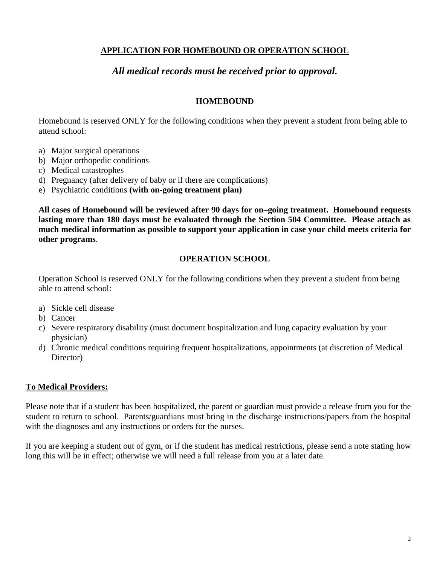## **APPLICATION FOR HOMEBOUND OR OPERATION SCHOOL**

## *All medical records must be received prior to approval.*

#### **HOMEBOUND**

Homebound is reserved ONLY for the following conditions when they prevent a student from being able to attend school:

- a) Major surgical operations
- b) Major orthopedic conditions
- c) Medical catastrophes
- d) Pregnancy (after delivery of baby or if there are complications)
- e) Psychiatric conditions **(with on-going treatment plan)**

**All cases of Homebound will be reviewed after 90 days for on–going treatment. Homebound requests lasting more than 180 days must be evaluated through the Section 504 Committee. Please attach as much medical information as possible to support your application in case your child meets criteria for other programs**.

#### **OPERATION SCHOOL**

Operation School is reserved ONLY for the following conditions when they prevent a student from being able to attend school:

- a) Sickle cell disease
- b) Cancer
- c) Severe respiratory disability (must document hospitalization and lung capacity evaluation by your physician)
- d) Chronic medical conditions requiring frequent hospitalizations, appointments (at discretion of Medical Director)

#### **To Medical Providers:**

Please note that if a student has been hospitalized, the parent or guardian must provide a release from you for the student to return to school. Parents/guardians must bring in the discharge instructions/papers from the hospital with the diagnoses and any instructions or orders for the nurses.

If you are keeping a student out of gym, or if the student has medical restrictions, please send a note stating how long this will be in effect; otherwise we will need a full release from you at a later date.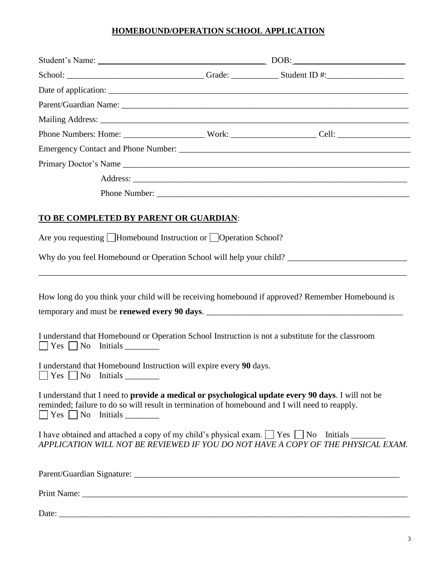## **HOMEBOUND/OPERATION SCHOOL APPLICATION**

| <b>TO BE COMPLETED BY PARENT OR GUARDIAN:</b><br>Are you requesting Homebound Instruction or Operation School?<br>How long do you think your child will be receiving homebound if approved? Remember Homebound is<br>temporary and must be <b>renewed every 90 days</b> .<br>I understand that Homebound or Operation School Instruction is not a substitute for the classroom<br>$\Box$ Yes $\Box$ No Initials _________<br>I understand that Homebound Instruction will expire every 90 days.<br>I understand that I need to provide a medical or psychological update every 90 days. I will not be<br>reminded; failure to do so will result in termination of homebound and I will need to reapply.<br>I have obtained and attached a copy of my child's physical exam. $\Box$ Yes $\Box$ No Initials ________<br>APPLICATION WILL NOT BE REVIEWED IF YOU DO NOT HAVE A COPY OF THE PHYSICAL EXAM. |  |
|--------------------------------------------------------------------------------------------------------------------------------------------------------------------------------------------------------------------------------------------------------------------------------------------------------------------------------------------------------------------------------------------------------------------------------------------------------------------------------------------------------------------------------------------------------------------------------------------------------------------------------------------------------------------------------------------------------------------------------------------------------------------------------------------------------------------------------------------------------------------------------------------------------|--|
|                                                                                                                                                                                                                                                                                                                                                                                                                                                                                                                                                                                                                                                                                                                                                                                                                                                                                                        |  |
|                                                                                                                                                                                                                                                                                                                                                                                                                                                                                                                                                                                                                                                                                                                                                                                                                                                                                                        |  |
|                                                                                                                                                                                                                                                                                                                                                                                                                                                                                                                                                                                                                                                                                                                                                                                                                                                                                                        |  |
|                                                                                                                                                                                                                                                                                                                                                                                                                                                                                                                                                                                                                                                                                                                                                                                                                                                                                                        |  |
|                                                                                                                                                                                                                                                                                                                                                                                                                                                                                                                                                                                                                                                                                                                                                                                                                                                                                                        |  |
|                                                                                                                                                                                                                                                                                                                                                                                                                                                                                                                                                                                                                                                                                                                                                                                                                                                                                                        |  |
|                                                                                                                                                                                                                                                                                                                                                                                                                                                                                                                                                                                                                                                                                                                                                                                                                                                                                                        |  |
|                                                                                                                                                                                                                                                                                                                                                                                                                                                                                                                                                                                                                                                                                                                                                                                                                                                                                                        |  |
|                                                                                                                                                                                                                                                                                                                                                                                                                                                                                                                                                                                                                                                                                                                                                                                                                                                                                                        |  |
|                                                                                                                                                                                                                                                                                                                                                                                                                                                                                                                                                                                                                                                                                                                                                                                                                                                                                                        |  |
|                                                                                                                                                                                                                                                                                                                                                                                                                                                                                                                                                                                                                                                                                                                                                                                                                                                                                                        |  |
|                                                                                                                                                                                                                                                                                                                                                                                                                                                                                                                                                                                                                                                                                                                                                                                                                                                                                                        |  |
|                                                                                                                                                                                                                                                                                                                                                                                                                                                                                                                                                                                                                                                                                                                                                                                                                                                                                                        |  |
|                                                                                                                                                                                                                                                                                                                                                                                                                                                                                                                                                                                                                                                                                                                                                                                                                                                                                                        |  |
|                                                                                                                                                                                                                                                                                                                                                                                                                                                                                                                                                                                                                                                                                                                                                                                                                                                                                                        |  |
|                                                                                                                                                                                                                                                                                                                                                                                                                                                                                                                                                                                                                                                                                                                                                                                                                                                                                                        |  |
|                                                                                                                                                                                                                                                                                                                                                                                                                                                                                                                                                                                                                                                                                                                                                                                                                                                                                                        |  |
|                                                                                                                                                                                                                                                                                                                                                                                                                                                                                                                                                                                                                                                                                                                                                                                                                                                                                                        |  |
|                                                                                                                                                                                                                                                                                                                                                                                                                                                                                                                                                                                                                                                                                                                                                                                                                                                                                                        |  |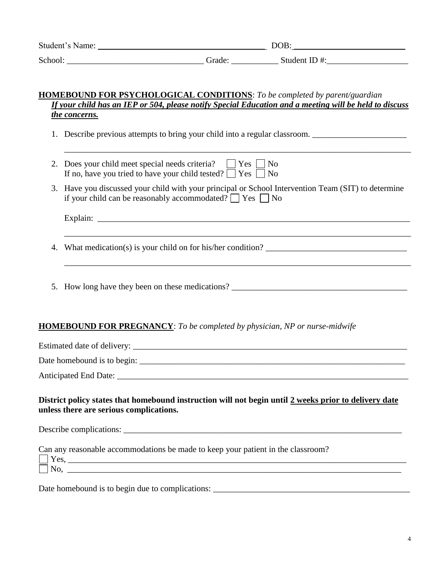| Student's Name: |                    | DOB:         |
|-----------------|--------------------|--------------|
| School:         | Grade <sup>.</sup> | Student ID#: |

#### **HOMEBOUND FOR PSYCHOLOGICAL CONDITIONS**: *To be completed by parent/guardian If your child has an IEP or 504, please notify Special Education and a meeting will be held to discuss the concerns.*

1. Describe previous attempts to bring your child into a regular classroom.

- 2. Does your child meet special needs criteria?  $\Box$  Yes  $\Box$  No If no, have you tried to have your child tested?  $\Box$  Yes  $\Box$  No
- 3. Have you discussed your child with your principal or School Intervention Team (SIT) to determine if your child can be reasonably accommodated?  $\Box$  Yes  $\Box$  No

\_\_\_\_\_\_\_\_\_\_\_\_\_\_\_\_\_\_\_\_\_\_\_\_\_\_\_\_\_\_\_\_\_\_\_\_\_\_\_\_\_\_\_\_\_\_\_\_\_\_\_\_\_\_\_\_\_\_\_\_\_\_\_\_\_\_\_\_\_\_\_\_\_\_\_\_\_\_\_\_\_

\_\_\_\_\_\_\_\_\_\_\_\_\_\_\_\_\_\_\_\_\_\_\_\_\_\_\_\_\_\_\_\_\_\_\_\_\_\_\_\_\_\_\_\_\_\_\_\_\_\_\_\_\_\_\_\_\_\_\_\_\_\_\_\_\_\_\_\_\_\_\_\_\_\_\_\_\_\_\_\_\_

\_\_\_\_\_\_\_\_\_\_\_\_\_\_\_\_\_\_\_\_\_\_\_\_\_\_\_\_\_\_\_\_\_\_\_\_\_\_\_\_\_\_\_\_\_\_\_\_\_\_\_\_\_\_\_\_\_\_\_\_\_\_\_\_\_\_\_\_\_\_\_\_\_\_\_\_\_\_\_\_\_

Explain: \_\_\_\_\_\_\_\_\_\_\_\_\_\_\_\_\_\_\_\_\_\_\_\_\_\_\_\_\_\_\_\_\_\_\_\_\_\_\_\_\_\_\_\_\_\_\_\_\_\_\_\_\_\_\_\_\_\_\_\_\_\_\_\_\_\_\_\_\_\_\_\_\_

4. What medication(s) is your child on for his/her condition?

5. How long have they been on these medications?

### **HOMEBOUND FOR PREGNANCY**: *To be completed by physician, NP or nurse-midwife*

Estimated date of delivery:

Date homebound is to begin:

Anticipated End Date: \_\_\_\_\_\_\_\_\_\_\_\_\_\_\_\_\_\_\_\_\_\_\_\_\_\_\_\_\_\_\_\_\_\_\_\_\_\_\_\_\_\_\_\_\_\_\_\_\_\_\_\_\_\_\_\_\_\_\_\_\_\_\_\_\_\_\_\_

### **District policy states that homebound instruction will not begin until 2 weeks prior to delivery date unless there are serious complications.**

Describe complications: \_\_\_\_\_\_\_\_\_\_\_\_\_\_\_\_\_\_\_\_\_\_\_\_\_\_\_\_\_\_\_\_\_\_\_\_\_\_\_\_\_\_\_\_\_\_\_\_\_\_\_\_\_\_\_\_\_\_\_\_\_\_\_\_\_

| Can any reasonable accommodations be made to keep your patient in the classroom? |  |
|----------------------------------------------------------------------------------|--|
| $\vert$   Yes.                                                                   |  |
| l No.                                                                            |  |

Date homebound is to begin due to complications: \_\_\_\_\_\_\_\_\_\_\_\_\_\_\_\_\_\_\_\_\_\_\_\_\_\_\_\_\_\_\_\_\_\_\_\_\_\_\_\_\_\_\_\_\_\_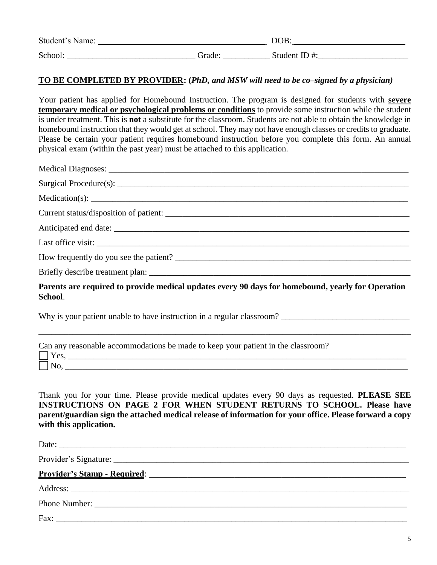| Student's Name: |            | DOB:         |
|-----------------|------------|--------------|
| School.         | .<br>Grade | Student ID#: |

#### **TO BE COMPLETED BY PROVIDER: (***PhD, and MSW will need to be co–signed by a physician)*

Your patient has applied for Homebound Instruction. The program is designed for students with **severe temporary medical or psychological problems or conditions** to provide some instruction while the student is under treatment. This is **not** a substitute for the classroom. Students are not able to obtain the knowledge in homebound instruction that they would get at school. They may not have enough classes or credits to graduate. Please be certain your patient requires homebound instruction before you complete this form. An annual physical exam (within the past year) must be attached to this application.

| Last office visit:                                                                                           |
|--------------------------------------------------------------------------------------------------------------|
|                                                                                                              |
|                                                                                                              |
| Parents are required to provide medical updates every 90 days for homebound, yearly for Operation<br>School. |

Why is your patient unable to have instruction in a regular classroom? \_\_\_\_\_\_\_\_\_\_\_\_\_\_\_\_\_\_\_\_\_\_\_\_\_\_\_\_\_\_

| Can any reasonable accommodations be made to keep your patient in the classroom? |
|----------------------------------------------------------------------------------|
| $\perp$ Yes.                                                                     |
|                                                                                  |

Thank you for your time. Please provide medical updates every 90 days as requested. **PLEASE SEE INSTRUCTIONS ON PAGE 2 FOR WHEN STUDENT RETURNS TO SCHOOL. Please have parent/guardian sign the attached medical release of information for your office. Please forward a copy with this application.**

\_\_\_\_\_\_\_\_\_\_\_\_\_\_\_\_\_\_\_\_\_\_\_\_\_\_\_\_\_\_\_\_\_\_\_\_\_\_\_\_\_\_\_\_\_\_\_\_\_\_\_\_\_\_\_\_\_\_\_\_\_\_\_\_\_\_\_\_\_\_\_\_\_\_\_\_\_\_\_\_\_\_\_\_\_\_\_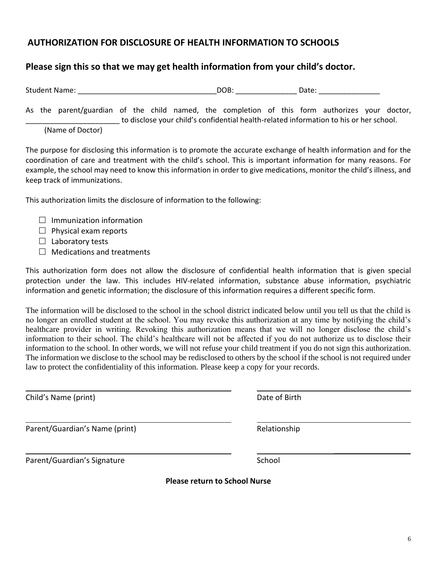# $\frac{1}{2}$  ,  $\frac{1}{2}$  ,  $\frac{1}{2}$  ,  $\frac{1}{2}$  ,  $\frac{1}{2}$  ,  $\frac{1}{2}$  ,  $\frac{1}{2}$  ,  $\frac{1}{2}$  ,  $\frac{1}{2}$  ,  $\frac{1}{2}$

6

# **AUTHORIZATION FOR DISCLOSURE OF HEALTH INFORMATION TO SCHOOLS**

# **Please sign this so that we may get health information from your child's doctor.**

Student Name: \_\_\_\_\_\_\_\_\_\_\_\_\_\_\_\_\_\_\_\_\_\_\_\_\_\_\_\_\_\_\_\_\_\_DOB: \_\_\_\_\_\_\_\_\_\_\_\_\_\_\_ Date: \_\_\_\_\_\_\_\_\_\_\_\_\_\_\_

As the parent/guardian of the child named, the completion of this form authorizes your doctor, \_\_\_\_\_\_\_\_\_\_\_\_\_\_\_\_\_\_\_\_\_\_\_ to disclose your child's confidential health-related information to his or her school.

(Name of Doctor)

The purpose for disclosing this information is to promote the accurate exchange of health information and for the coordination of care and treatment with the child's school. This is important information for many reasons. For example, the school may need to know this information in order to give medications, monitor the child's illness, and keep track of immunizations.

This authorization limits the disclosure of information to the following:

- $\Box$  Immunization information
- $\Box$  Physical exam reports
- $\Box$  Laboratory tests
- $\Box$  Medications and treatments

This authorization form does not allow the disclosure of confidential health information that is given special protection under the law. This includes HIV-related information, substance abuse information, psychiatric information and genetic information; the disclosure of this information requires a different specific form.

The information will be disclosed to the school in the school district indicated below until you tell us that the child is no longer an enrolled student at the school. You may revoke this authorization at any time by notifying the child's healthcare provider in writing. Revoking this authorization means that we will no longer disclose the child's information to their school. The child's healthcare will not be affected if you do not authorize us to disclose their information to the school. In other words, we will not refuse your child treatment if you do not sign this authorization. The information we disclose to the school may be redisclosed to others by the school if the school is not required under law to protect the confidentiality of this information. Please keep a copy for your records.

Child's Name (print) Date of Birth

Parent/Guardian's Name (print) The Control of the Relationship

Parent/Guardian's Signature School School

**Please return to School Nurse**